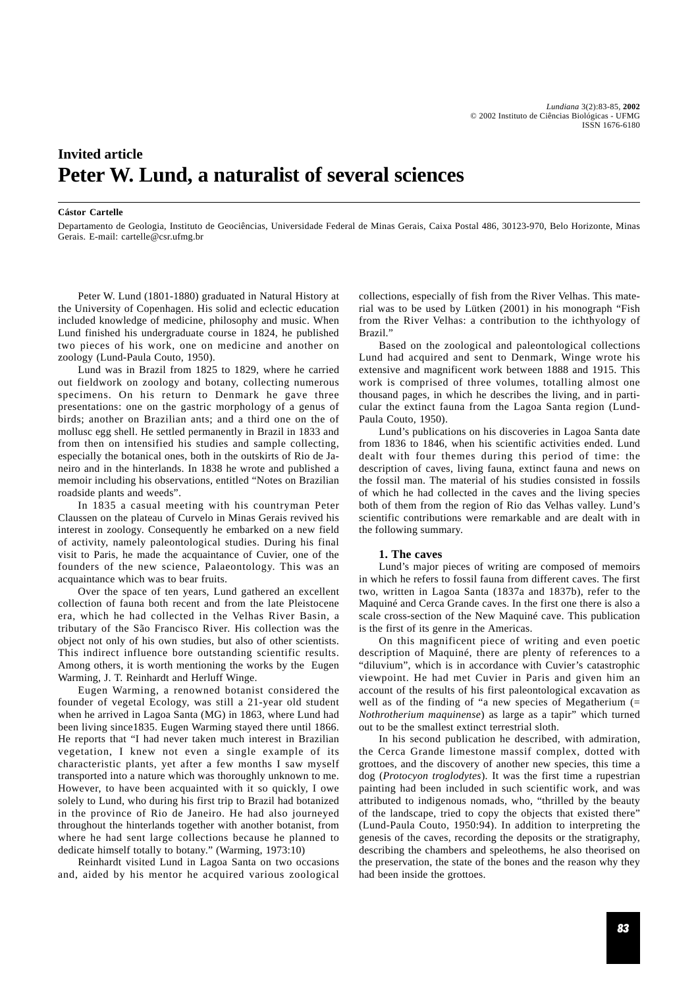# **Invited article Peter W. Lund, a naturalist of several sciences**

#### **Cástor Cartelle**

Departamento de Geologia, Instituto de Geociências, Universidade Federal de Minas Gerais, Caixa Postal 486, 30123-970, Belo Horizonte, Minas Gerais. E-mail: cartelle@csr.ufmg.br

Peter W. Lund (1801-1880) graduated in Natural History at the University of Copenhagen. His solid and eclectic education included knowledge of medicine, philosophy and music. When Lund finished his undergraduate course in 1824, he published two pieces of his work, one on medicine and another on zoology (Lund-Paula Couto, 1950).

Lund was in Brazil from 1825 to 1829, where he carried out fieldwork on zoology and botany, collecting numerous specimens. On his return to Denmark he gave three presentations: one on the gastric morphology of a genus of birds; another on Brazilian ants; and a third one on the of mollusc egg shell. He settled permanently in Brazil in 1833 and from then on intensified his studies and sample collecting, especially the botanical ones, both in the outskirts of Rio de Janeiro and in the hinterlands. In 1838 he wrote and published a memoir including his observations, entitled "Notes on Brazilian roadside plants and weeds".

In 1835 a casual meeting with his countryman Peter Claussen on the plateau of Curvelo in Minas Gerais revived his interest in zoology. Consequently he embarked on a new field of activity, namely paleontological studies. During his final visit to Paris, he made the acquaintance of Cuvier, one of the founders of the new science, Palaeontology. This was an acquaintance which was to bear fruits.

Over the space of ten years, Lund gathered an excellent collection of fauna both recent and from the late Pleistocene era, which he had collected in the Velhas River Basin, a tributary of the São Francisco River. His collection was the object not only of his own studies, but also of other scientists. This indirect influence bore outstanding scientific results. Among others, it is worth mentioning the works by the Eugen Warming, J. T. Reinhardt and Herluff Winge.

Eugen Warming, a renowned botanist considered the founder of vegetal Ecology, was still a 21-year old student when he arrived in Lagoa Santa (MG) in 1863, where Lund had been living since1835. Eugen Warming stayed there until 1866. He reports that "I had never taken much interest in Brazilian vegetation, I knew not even a single example of its characteristic plants, yet after a few months I saw myself transported into a nature which was thoroughly unknown to me. However, to have been acquainted with it so quickly, I owe solely to Lund, who during his first trip to Brazil had botanized in the province of Rio de Janeiro. He had also journeyed throughout the hinterlands together with another botanist, from where he had sent large collections because he planned to dedicate himself totally to botany." (Warming, 1973:10)

Reinhardt visited Lund in Lagoa Santa on two occasions and, aided by his mentor he acquired various zoological collections, especially of fish from the River Velhas. This material was to be used by Lütken (2001) in his monograph "Fish from the River Velhas: a contribution to the ichthyology of Brazil."

Based on the zoological and paleontological collections Lund had acquired and sent to Denmark, Winge wrote his extensive and magnificent work between 1888 and 1915. This work is comprised of three volumes, totalling almost one thousand pages, in which he describes the living, and in particular the extinct fauna from the Lagoa Santa region (Lund-Paula Couto, 1950).

Lund's publications on his discoveries in Lagoa Santa date from 1836 to 1846, when his scientific activities ended. Lund dealt with four themes during this period of time: the description of caves, living fauna, extinct fauna and news on the fossil man. The material of his studies consisted in fossils of which he had collected in the caves and the living species both of them from the region of Rio das Velhas valley. Lund's scientific contributions were remarkable and are dealt with in the following summary.

#### **1. The caves**

Lund's major pieces of writing are composed of memoirs in which he refers to fossil fauna from different caves. The first two, written in Lagoa Santa (1837a and 1837b), refer to the Maquiné and Cerca Grande caves. In the first one there is also a scale cross-section of the New Maquiné cave. This publication is the first of its genre in the Americas.

On this magnificent piece of writing and even poetic description of Maquiné, there are plenty of references to a "diluvium", which is in accordance with Cuvier's catastrophic viewpoint. He had met Cuvier in Paris and given him an account of the results of his first paleontological excavation as well as of the finding of "a new species of Megatherium (= *Nothrotherium maquinense*) as large as a tapir" which turned out to be the smallest extinct terrestrial sloth.

In his second publication he described, with admiration, the Cerca Grande limestone massif complex, dotted with grottoes, and the discovery of another new species, this time a dog (*Protocyon troglodytes*). It was the first time a rupestrian painting had been included in such scientific work, and was attributed to indigenous nomads, who, "thrilled by the beauty of the landscape, tried to copy the objects that existed there" (Lund-Paula Couto, 1950:94). In addition to interpreting the genesis of the caves, recording the deposits or the stratigraphy, describing the chambers and speleothems, he also theorised on the preservation, the state of the bones and the reason why they had been inside the grottoes.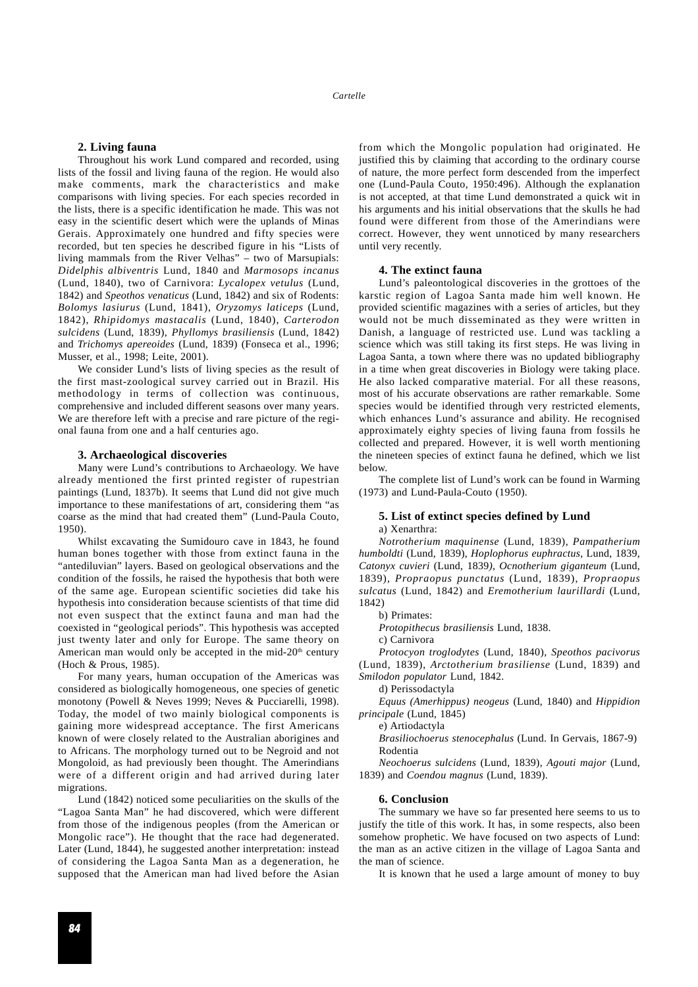## **2. Living fauna**

Throughout his work Lund compared and recorded, using lists of the fossil and living fauna of the region. He would also make comments, mark the characteristics and make comparisons with living species. For each species recorded in the lists, there is a specific identification he made. This was not easy in the scientific desert which were the uplands of Minas Gerais. Approximately one hundred and fifty species were recorded, but ten species he described figure in his "Lists of living mammals from the River Velhas" – two of Marsupials: *Didelphis albiventris* Lund, 1840 and *Marmosops incanus* (Lund, 1840), two of Carnivora: *Lycalopex vetulus* (Lund, 1842) and *Speothos venaticus* (Lund, 1842) and six of Rodents: *Bolomys lasiurus* (Lund, 1841), *Oryzomys laticeps* (Lund, 1842), *Rhipidomys mastacalis* (Lund, 1840), *Carterodon sulcidens* (Lund, 1839), *Phyllomys brasiliensis* (Lund, 1842) and *Trichomys apereoides* (Lund, 1839) (Fonseca et al., 1996; Musser, et al., 1998; Leite, 2001).

We consider Lund's lists of living species as the result of the first mast-zoological survey carried out in Brazil. His methodology in terms of collection was continuous, comprehensive and included different seasons over many years. We are therefore left with a precise and rare picture of the regional fauna from one and a half centuries ago.

## **3. Archaeological discoveries**

Many were Lund's contributions to Archaeology. We have already mentioned the first printed register of rupestrian paintings (Lund, 1837b). It seems that Lund did not give much importance to these manifestations of art, considering them "as coarse as the mind that had created them" (Lund-Paula Couto, 1950).

Whilst excavating the Sumidouro cave in 1843, he found human bones together with those from extinct fauna in the "antediluvian" layers. Based on geological observations and the condition of the fossils, he raised the hypothesis that both were of the same age. European scientific societies did take his hypothesis into consideration because scientists of that time did not even suspect that the extinct fauna and man had the coexisted in "geological periods". This hypothesis was accepted just twenty later and only for Europe. The same theory on American man would only be accepted in the mid-20<sup>th</sup> century (Hoch & Prous, 1985).

For many years, human occupation of the Americas was considered as biologically homogeneous, one species of genetic monotony (Powell & Neves 1999; Neves & Pucciarelli, 1998). Today, the model of two mainly biological components is gaining more widespread acceptance. The first Americans known of were closely related to the Australian aborigines and to Africans. The morphology turned out to be Negroid and not Mongoloid, as had previously been thought. The Amerindians were of a different origin and had arrived during later migrations.

Lund (1842) noticed some peculiarities on the skulls of the "Lagoa Santa Man" he had discovered, which were different from those of the indigenous peoples (from the American or Mongolic race"). He thought that the race had degenerated. Later (Lund, 1844), he suggested another interpretation: instead of considering the Lagoa Santa Man as a degeneration, he supposed that the American man had lived before the Asian from which the Mongolic population had originated. He justified this by claiming that according to the ordinary course of nature, the more perfect form descended from the imperfect one (Lund-Paula Couto, 1950:496). Although the explanation is not accepted, at that time Lund demonstrated a quick wit in his arguments and his initial observations that the skulls he had found were different from those of the Amerindians were correct. However, they went unnoticed by many researchers until very recently.

### **4. The extinct fauna**

Lund's paleontological discoveries in the grottoes of the karstic region of Lagoa Santa made him well known. He provided scientific magazines with a series of articles, but they would not be much disseminated as they were written in Danish, a language of restricted use. Lund was tackling a science which was still taking its first steps. He was living in Lagoa Santa, a town where there was no updated bibliography in a time when great discoveries in Biology were taking place. He also lacked comparative material. For all these reasons, most of his accurate observations are rather remarkable. Some species would be identified through very restricted elements, which enhances Lund's assurance and ability. He recognised approximately eighty species of living fauna from fossils he collected and prepared. However, it is well worth mentioning the nineteen species of extinct fauna he defined, which we list below.

The complete list of Lund's work can be found in Warming (1973) and Lund-Paula-Couto (1950).

#### **5. List of extinct species defined by Lund** a) Xenarthra:

*Notrotherium maquinense* (Lund, 1839), *Pampatherium humboldti* (Lund, 1839), *Hoplophorus euphractus*, Lund, 1839, *Catonyx cuvieri* (Lund, 1839*), Ocnotherium giganteum* (Lund, 1839), *Propraopus punctatus* (Lund, 1839), *Propraopus sulcatus* (Lund, 1842) and *Eremotherium laurillardi* (Lund, 1842)

b) Primates:

*Protopithecus brasiliensis* Lund, 1838.

c) Carnivora

*Protocyon troglodytes* (Lund, 1840), *Speothos pacivorus* (Lund, 1839), *Arctotherium brasiliense* (Lund, 1839) and *Smilodon populator* Lund, 1842.

d) Perissodactyla

*Equus (Amerhippus) neogeus* (Lund, 1840) and *Hippidion principale* (Lund, 1845)

e) Artiodactyla

*Brasiliochoerus stenocephalus* (Lund. In Gervais, 1867-9) Rodentia

*Neochoerus sulcidens* (Lund, 1839), *Agouti major* (Lund, 1839) and *Coendou magnus* (Lund, 1839).

#### **6. Conclusion**

The summary we have so far presented here seems to us to justify the title of this work. It has, in some respects, also been somehow prophetic. We have focused on two aspects of Lund: the man as an active citizen in the village of Lagoa Santa and the man of science.

It is known that he used a large amount of money to buy